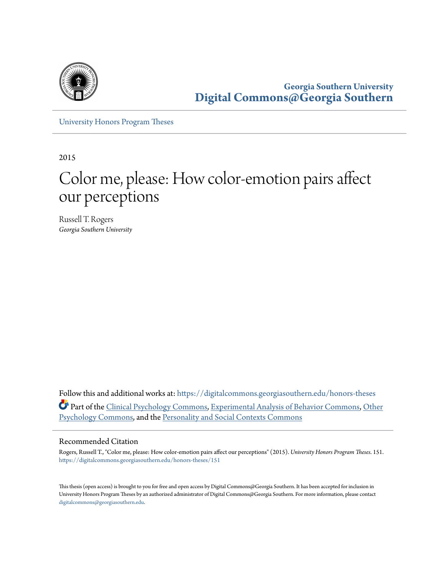

**Georgia Southern University [Digital Commons@Georgia Southern](https://digitalcommons.georgiasouthern.edu?utm_source=digitalcommons.georgiasouthern.edu%2Fhonors-theses%2F151&utm_medium=PDF&utm_campaign=PDFCoverPages)**

[University Honors Program Theses](https://digitalcommons.georgiasouthern.edu/honors-theses?utm_source=digitalcommons.georgiasouthern.edu%2Fhonors-theses%2F151&utm_medium=PDF&utm_campaign=PDFCoverPages)

2015

# Color me, please: How color-emotion pairs affect our perceptions

Russell T. Rogers *Georgia Southern University*

Follow this and additional works at: [https://digitalcommons.georgiasouthern.edu/honors-theses](https://digitalcommons.georgiasouthern.edu/honors-theses?utm_source=digitalcommons.georgiasouthern.edu%2Fhonors-theses%2F151&utm_medium=PDF&utm_campaign=PDFCoverPages) Part of the [Clinical Psychology Commons,](http://network.bepress.com/hgg/discipline/406?utm_source=digitalcommons.georgiasouthern.edu%2Fhonors-theses%2F151&utm_medium=PDF&utm_campaign=PDFCoverPages) [Experimental Analysis of Behavior Commons,](http://network.bepress.com/hgg/discipline/1236?utm_source=digitalcommons.georgiasouthern.edu%2Fhonors-theses%2F151&utm_medium=PDF&utm_campaign=PDFCoverPages) [Other](http://network.bepress.com/hgg/discipline/415?utm_source=digitalcommons.georgiasouthern.edu%2Fhonors-theses%2F151&utm_medium=PDF&utm_campaign=PDFCoverPages) [Psychology Commons,](http://network.bepress.com/hgg/discipline/415?utm_source=digitalcommons.georgiasouthern.edu%2Fhonors-theses%2F151&utm_medium=PDF&utm_campaign=PDFCoverPages) and the [Personality and Social Contexts Commons](http://network.bepress.com/hgg/discipline/413?utm_source=digitalcommons.georgiasouthern.edu%2Fhonors-theses%2F151&utm_medium=PDF&utm_campaign=PDFCoverPages)

#### Recommended Citation

Rogers, Russell T., "Color me, please: How color-emotion pairs affect our perceptions" (2015). *University Honors Program Theses*. 151. [https://digitalcommons.georgiasouthern.edu/honors-theses/151](https://digitalcommons.georgiasouthern.edu/honors-theses/151?utm_source=digitalcommons.georgiasouthern.edu%2Fhonors-theses%2F151&utm_medium=PDF&utm_campaign=PDFCoverPages)

This thesis (open access) is brought to you for free and open access by Digital Commons@Georgia Southern. It has been accepted for inclusion in University Honors Program Theses by an authorized administrator of Digital Commons@Georgia Southern. For more information, please contact [digitalcommons@georgiasouthern.edu.](mailto:digitalcommons@georgiasouthern.edu)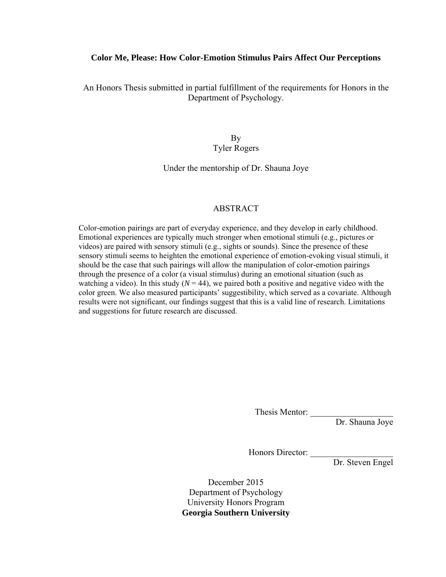#### **Color Me, Please: How Color-Emotion Stimulus Pairs Affect Our Perceptions**

An Honors Thesis submitted in partial fulfillment of the requirements for Honors in the Department of Psychology.

> By Tyler Rogers

Under the mentorship of Dr. Shauna Joye

#### ABSTRACT

Color-emotion pairings are part of everyday experience, and they develop in early childhood. Emotional experiences are typically much stronger when emotional stimuli (e.g., pictures or videos) are paired with sensory stimuli (e.g., sights or sounds). Since the presence of these sensory stimuli seems to heighten the emotional experience of emotion-evoking visual stimuli, it should be the case that such pairings will allow the manipulation of color-emotion pairings through the presence of a color (a visual stimulus) during an emotional situation (such as watching a video). In this study  $(N = 44)$ , we paired both a positive and negative video with the color green. We also measured participants' suggestibility, which served as a covariate. Although results were not significant, our findings suggest that this is a valid line of research. Limitations and suggestions for future research are discussed.

Thesis Mentor:

Dr. Shauna Joye

Honors Director:

Dr. Steven Engel

December 2015 Department of Psychology University Honors Program **Georgia Southern University**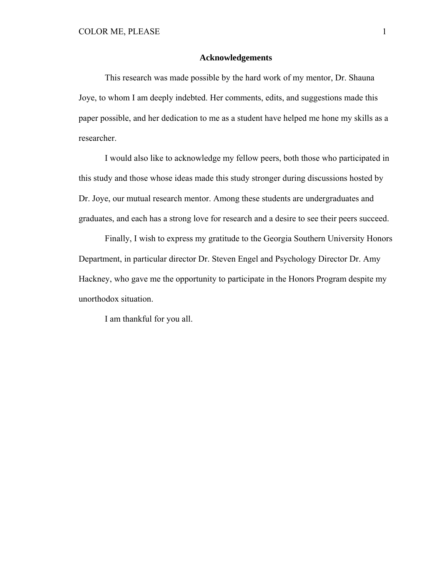#### **Acknowledgements**

 This research was made possible by the hard work of my mentor, Dr. Shauna Joye, to whom I am deeply indebted. Her comments, edits, and suggestions made this paper possible, and her dedication to me as a student have helped me hone my skills as a researcher.

 I would also like to acknowledge my fellow peers, both those who participated in this study and those whose ideas made this study stronger during discussions hosted by Dr. Joye, our mutual research mentor. Among these students are undergraduates and graduates, and each has a strong love for research and a desire to see their peers succeed.

 Finally, I wish to express my gratitude to the Georgia Southern University Honors Department, in particular director Dr. Steven Engel and Psychology Director Dr. Amy Hackney, who gave me the opportunity to participate in the Honors Program despite my unorthodox situation.

I am thankful for you all.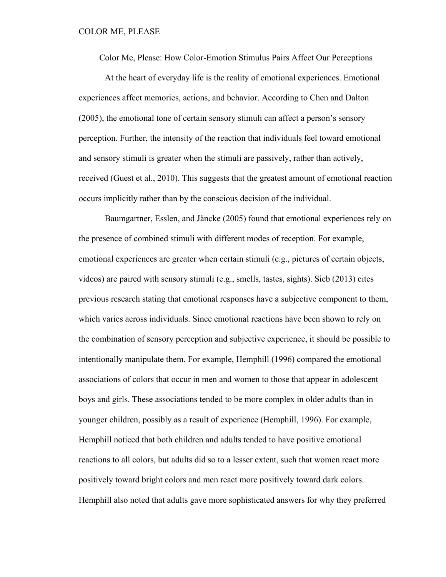Color Me, Please: How Color-Emotion Stimulus Pairs Affect Our Perceptions

 At the heart of everyday life is the reality of emotional experiences. Emotional experiences affect memories, actions, and behavior. According to Chen and Dalton (2005), the emotional tone of certain sensory stimuli can affect a person's sensory perception. Further, the intensity of the reaction that individuals feel toward emotional and sensory stimuli is greater when the stimuli are passively, rather than actively, received (Guest et al., 2010). This suggests that the greatest amount of emotional reaction occurs implicitly rather than by the conscious decision of the individual.

 Baumgartner, Esslen, and Jäncke (2005) found that emotional experiences rely on the presence of combined stimuli with different modes of reception. For example, emotional experiences are greater when certain stimuli (e.g., pictures of certain objects, videos) are paired with sensory stimuli (e.g., smells, tastes, sights). Sieb (2013) cites previous research stating that emotional responses have a subjective component to them, which varies across individuals. Since emotional reactions have been shown to rely on the combination of sensory perception and subjective experience, it should be possible to intentionally manipulate them. For example, Hemphill (1996) compared the emotional associations of colors that occur in men and women to those that appear in adolescent boys and girls. These associations tended to be more complex in older adults than in younger children, possibly as a result of experience (Hemphill, 1996). For example, Hemphill noticed that both children and adults tended to have positive emotional reactions to all colors, but adults did so to a lesser extent, such that women react more positively toward bright colors and men react more positively toward dark colors. Hemphill also noted that adults gave more sophisticated answers for why they preferred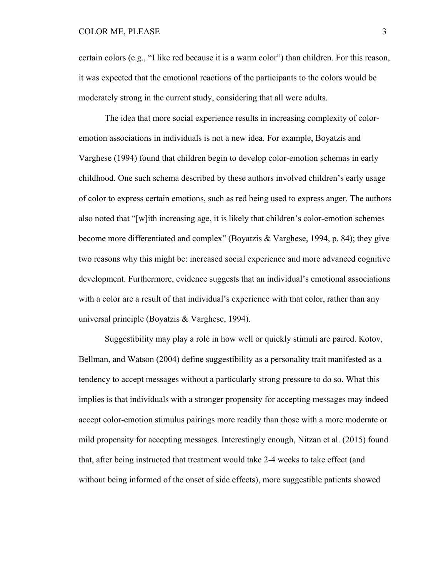#### COLOR ME, PLEASE 3

certain colors (e.g., "I like red because it is a warm color") than children. For this reason, it was expected that the emotional reactions of the participants to the colors would be moderately strong in the current study, considering that all were adults.

 The idea that more social experience results in increasing complexity of coloremotion associations in individuals is not a new idea. For example, Boyatzis and Varghese (1994) found that children begin to develop color-emotion schemas in early childhood. One such schema described by these authors involved children's early usage of color to express certain emotions, such as red being used to express anger. The authors also noted that "[w]ith increasing age, it is likely that children's color-emotion schemes become more differentiated and complex" (Boyatzis & Varghese, 1994, p. 84); they give two reasons why this might be: increased social experience and more advanced cognitive development. Furthermore, evidence suggests that an individual's emotional associations with a color are a result of that individual's experience with that color, rather than any universal principle (Boyatzis & Varghese, 1994).

 Suggestibility may play a role in how well or quickly stimuli are paired. Kotov, Bellman, and Watson (2004) define suggestibility as a personality trait manifested as a tendency to accept messages without a particularly strong pressure to do so. What this implies is that individuals with a stronger propensity for accepting messages may indeed accept color-emotion stimulus pairings more readily than those with a more moderate or mild propensity for accepting messages. Interestingly enough, Nitzan et al. (2015) found that, after being instructed that treatment would take 2-4 weeks to take effect (and without being informed of the onset of side effects), more suggestible patients showed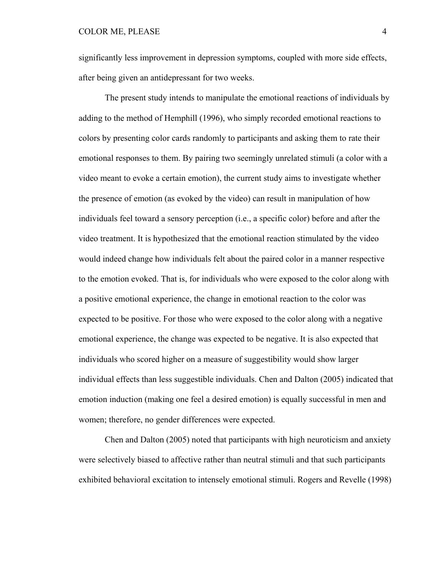significantly less improvement in depression symptoms, coupled with more side effects, after being given an antidepressant for two weeks.

 The present study intends to manipulate the emotional reactions of individuals by adding to the method of Hemphill (1996), who simply recorded emotional reactions to colors by presenting color cards randomly to participants and asking them to rate their emotional responses to them. By pairing two seemingly unrelated stimuli (a color with a video meant to evoke a certain emotion), the current study aims to investigate whether the presence of emotion (as evoked by the video) can result in manipulation of how individuals feel toward a sensory perception (i.e., a specific color) before and after the video treatment. It is hypothesized that the emotional reaction stimulated by the video would indeed change how individuals felt about the paired color in a manner respective to the emotion evoked. That is, for individuals who were exposed to the color along with a positive emotional experience, the change in emotional reaction to the color was expected to be positive. For those who were exposed to the color along with a negative emotional experience, the change was expected to be negative. It is also expected that individuals who scored higher on a measure of suggestibility would show larger individual effects than less suggestible individuals. Chen and Dalton (2005) indicated that emotion induction (making one feel a desired emotion) is equally successful in men and women; therefore, no gender differences were expected.

Chen and Dalton (2005) noted that participants with high neuroticism and anxiety were selectively biased to affective rather than neutral stimuli and that such participants exhibited behavioral excitation to intensely emotional stimuli. Rogers and Revelle (1998)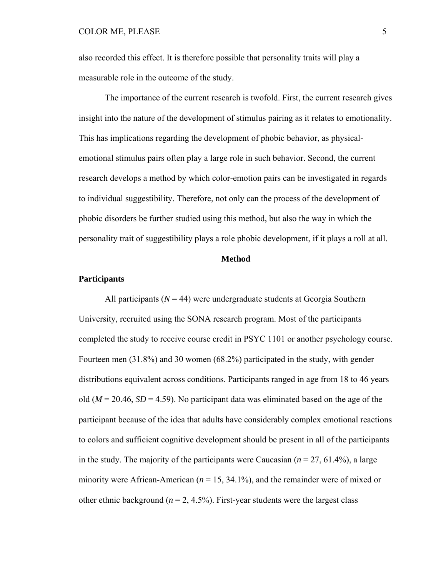also recorded this effect. It is therefore possible that personality traits will play a measurable role in the outcome of the study.

 The importance of the current research is twofold. First, the current research gives insight into the nature of the development of stimulus pairing as it relates to emotionality. This has implications regarding the development of phobic behavior, as physicalemotional stimulus pairs often play a large role in such behavior. Second, the current research develops a method by which color-emotion pairs can be investigated in regards to individual suggestibility. Therefore, not only can the process of the development of phobic disorders be further studied using this method, but also the way in which the personality trait of suggestibility plays a role phobic development, if it plays a roll at all.

#### **Method**

#### **Participants**

All participants  $(N = 44)$  were undergraduate students at Georgia Southern University, recruited using the SONA research program. Most of the participants completed the study to receive course credit in PSYC 1101 or another psychology course. Fourteen men (31.8%) and 30 women (68.2%) participated in the study, with gender distributions equivalent across conditions. Participants ranged in age from 18 to 46 years old ( $M = 20.46$ ,  $SD = 4.59$ ). No participant data was eliminated based on the age of the participant because of the idea that adults have considerably complex emotional reactions to colors and sufficient cognitive development should be present in all of the participants in the study. The majority of the participants were Caucasian  $(n = 27, 61.4\%)$ , a large minority were African-American (*n* = 15, 34.1%), and the remainder were of mixed or other ethnic background ( $n = 2, 4.5\%$ ). First-year students were the largest class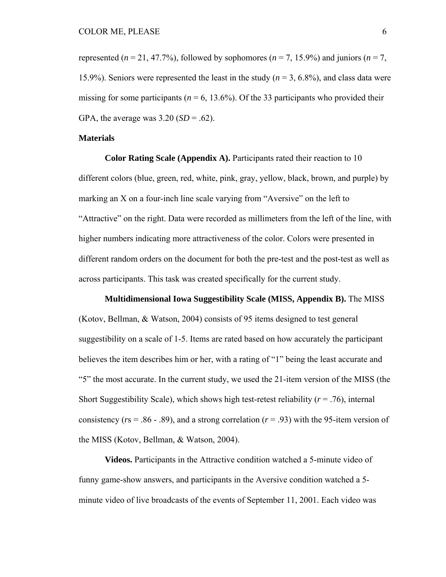represented ( $n = 21, 47.7\%$ ), followed by sophomores ( $n = 7, 15.9\%$ ) and juniors ( $n = 7$ , 15.9%). Seniors were represented the least in the study (*n* = 3, 6.8%), and class data were missing for some participants ( $n = 6$ , 13.6%). Of the 33 participants who provided their GPA, the average was  $3.20$  (*SD* = .62).

#### **Materials**

**Color Rating Scale (Appendix A).** Participants rated their reaction to 10 different colors (blue, green, red, white, pink, gray, yellow, black, brown, and purple) by marking an X on a four-inch line scale varying from "Aversive" on the left to "Attractive" on the right. Data were recorded as millimeters from the left of the line, with higher numbers indicating more attractiveness of the color. Colors were presented in different random orders on the document for both the pre-test and the post-test as well as across participants. This task was created specifically for the current study.

#### **Multidimensional Iowa Suggestibility Scale (MISS, Appendix B).** The MISS

(Kotov, Bellman, & Watson, 2004) consists of 95 items designed to test general suggestibility on a scale of 1-5. Items are rated based on how accurately the participant believes the item describes him or her, with a rating of "1" being the least accurate and "5" the most accurate. In the current study, we used the 21-item version of the MISS (the Short Suggestibility Scale), which shows high test-retest reliability  $(r = .76)$ , internal consistency ( $rs = 0.86 - 0.89$ ), and a strong correlation ( $r = 0.93$ ) with the 95-item version of the MISS (Kotov, Bellman, & Watson, 2004).

 **Videos.** Participants in the Attractive condition watched a 5-minute video of funny game-show answers, and participants in the Aversive condition watched a 5 minute video of live broadcasts of the events of September 11, 2001. Each video was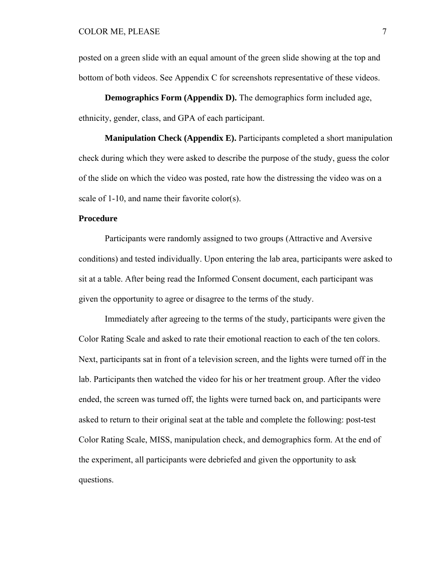posted on a green slide with an equal amount of the green slide showing at the top and bottom of both videos. See Appendix C for screenshots representative of these videos.

**Demographics Form (Appendix D).** The demographics form included age, ethnicity, gender, class, and GPA of each participant.

**Manipulation Check (Appendix E).** Participants completed a short manipulation check during which they were asked to describe the purpose of the study, guess the color of the slide on which the video was posted, rate how the distressing the video was on a scale of 1-10, and name their favorite color(s).

#### **Procedure**

 Participants were randomly assigned to two groups (Attractive and Aversive conditions) and tested individually. Upon entering the lab area, participants were asked to sit at a table. After being read the Informed Consent document, each participant was given the opportunity to agree or disagree to the terms of the study.

 Immediately after agreeing to the terms of the study, participants were given the Color Rating Scale and asked to rate their emotional reaction to each of the ten colors. Next, participants sat in front of a television screen, and the lights were turned off in the lab. Participants then watched the video for his or her treatment group. After the video ended, the screen was turned off, the lights were turned back on, and participants were asked to return to their original seat at the table and complete the following: post-test Color Rating Scale, MISS, manipulation check, and demographics form. At the end of the experiment, all participants were debriefed and given the opportunity to ask questions.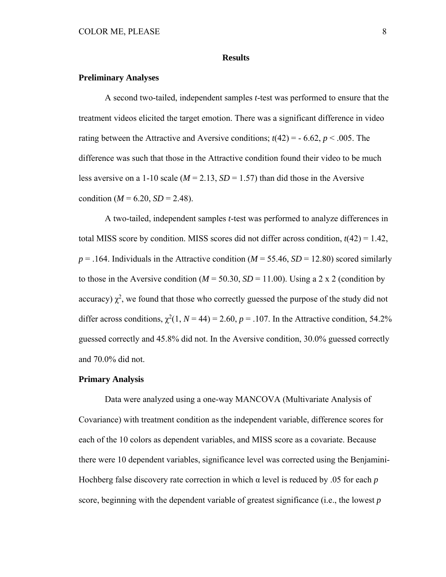#### **Results**

#### **Preliminary Analyses**

A second two-tailed, independent samples *t*-test was performed to ensure that the treatment videos elicited the target emotion. There was a significant difference in video rating between the Attractive and Aversive conditions;  $t(42) = -6.62$ ,  $p < .005$ . The difference was such that those in the Attractive condition found their video to be much less aversive on a 1-10 scale ( $M = 2.13$ ,  $SD = 1.57$ ) than did those in the Aversive condition ( $M = 6.20$ ,  $SD = 2.48$ ).

A two-tailed, independent samples *t*-test was performed to analyze differences in total MISS score by condition. MISS scores did not differ across condition,  $t(42) = 1.42$ ,  $p = 0.164$ . Individuals in the Attractive condition ( $M = 55.46$ ,  $SD = 12.80$ ) scored similarly to those in the Aversive condition ( $M = 50.30$ ,  $SD = 11.00$ ). Using a 2 x 2 (condition by accuracy)  $\chi^2$ , we found that those who correctly guessed the purpose of the study did not differ across conditions,  $\chi^2(1, N = 44) = 2.60$ ,  $p = .107$ . In the Attractive condition, 54.2% guessed correctly and 45.8% did not. In the Aversive condition, 30.0% guessed correctly and 70.0% did not.

#### **Primary Analysis**

Data were analyzed using a one-way MANCOVA (Multivariate Analysis of Covariance) with treatment condition as the independent variable, difference scores for each of the 10 colors as dependent variables, and MISS score as a covariate. Because there were 10 dependent variables, significance level was corrected using the Benjamini-Hochberg false discovery rate correction in which α level is reduced by .05 for each *p*  score, beginning with the dependent variable of greatest significance (i.e., the lowest *p*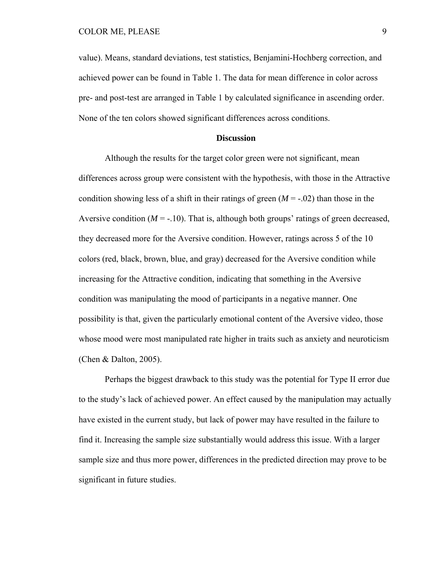value). Means, standard deviations, test statistics, Benjamini-Hochberg correction, and achieved power can be found in Table 1. The data for mean difference in color across pre- and post-test are arranged in Table 1 by calculated significance in ascending order. None of the ten colors showed significant differences across conditions.

#### **Discussion**

Although the results for the target color green were not significant, mean differences across group were consistent with the hypothesis, with those in the Attractive condition showing less of a shift in their ratings of green  $(M = -0.02)$  than those in the Aversive condition  $(M = -10)$ . That is, although both groups' ratings of green decreased, they decreased more for the Aversive condition. However, ratings across 5 of the 10 colors (red, black, brown, blue, and gray) decreased for the Aversive condition while increasing for the Attractive condition, indicating that something in the Aversive condition was manipulating the mood of participants in a negative manner. One possibility is that, given the particularly emotional content of the Aversive video, those whose mood were most manipulated rate higher in traits such as anxiety and neuroticism (Chen & Dalton, 2005).

Perhaps the biggest drawback to this study was the potential for Type II error due to the study's lack of achieved power. An effect caused by the manipulation may actually have existed in the current study, but lack of power may have resulted in the failure to find it. Increasing the sample size substantially would address this issue. With a larger sample size and thus more power, differences in the predicted direction may prove to be significant in future studies.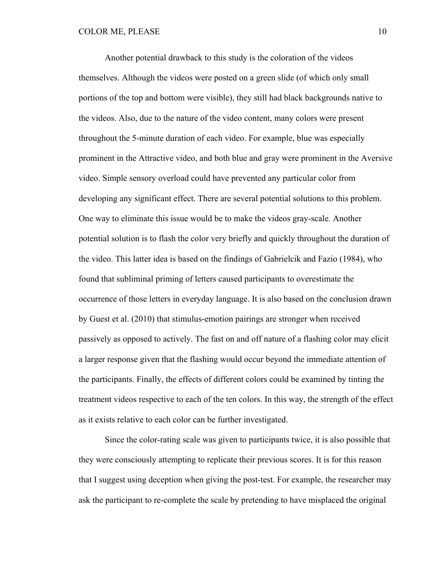Another potential drawback to this study is the coloration of the videos themselves. Although the videos were posted on a green slide (of which only small portions of the top and bottom were visible), they still had black backgrounds native to the videos. Also, due to the nature of the video content, many colors were present throughout the 5-minute duration of each video. For example, blue was especially prominent in the Attractive video, and both blue and gray were prominent in the Aversive video. Simple sensory overload could have prevented any particular color from developing any significant effect. There are several potential solutions to this problem. One way to eliminate this issue would be to make the videos gray-scale. Another potential solution is to flash the color very briefly and quickly throughout the duration of the video. This latter idea is based on the findings of Gabrielcik and Fazio (1984), who found that subliminal priming of letters caused participants to overestimate the occurrence of those letters in everyday language. It is also based on the conclusion drawn by Guest et al. (2010) that stimulus-emotion pairings are stronger when received passively as opposed to actively. The fast on and off nature of a flashing color may elicit a larger response given that the flashing would occur beyond the immediate attention of the participants. Finally, the effects of different colors could be examined by tinting the treatment videos respective to each of the ten colors. In this way, the strength of the effect as it exists relative to each color can be further investigated.

Since the color-rating scale was given to participants twice, it is also possible that they were consciously attempting to replicate their previous scores. It is for this reason that I suggest using deception when giving the post-test. For example, the researcher may ask the participant to re-complete the scale by pretending to have misplaced the original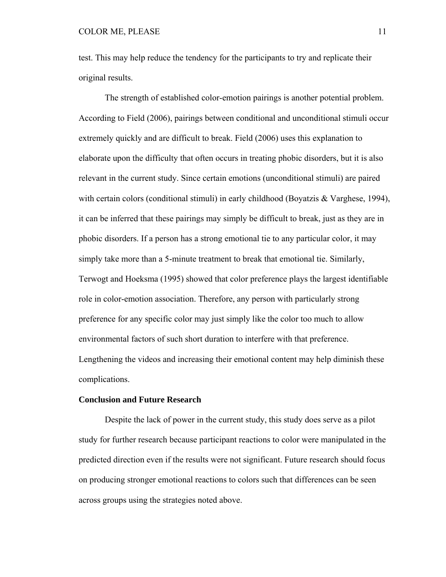test. This may help reduce the tendency for the participants to try and replicate their original results.

The strength of established color-emotion pairings is another potential problem. According to Field (2006), pairings between conditional and unconditional stimuli occur extremely quickly and are difficult to break. Field (2006) uses this explanation to elaborate upon the difficulty that often occurs in treating phobic disorders, but it is also relevant in the current study. Since certain emotions (unconditional stimuli) are paired with certain colors (conditional stimuli) in early childhood (Boyatzis & Varghese, 1994), it can be inferred that these pairings may simply be difficult to break, just as they are in phobic disorders. If a person has a strong emotional tie to any particular color, it may simply take more than a 5-minute treatment to break that emotional tie. Similarly, Terwogt and Hoeksma (1995) showed that color preference plays the largest identifiable role in color-emotion association. Therefore, any person with particularly strong preference for any specific color may just simply like the color too much to allow environmental factors of such short duration to interfere with that preference. Lengthening the videos and increasing their emotional content may help diminish these complications.

#### **Conclusion and Future Research**

 Despite the lack of power in the current study, this study does serve as a pilot study for further research because participant reactions to color were manipulated in the predicted direction even if the results were not significant. Future research should focus on producing stronger emotional reactions to colors such that differences can be seen across groups using the strategies noted above.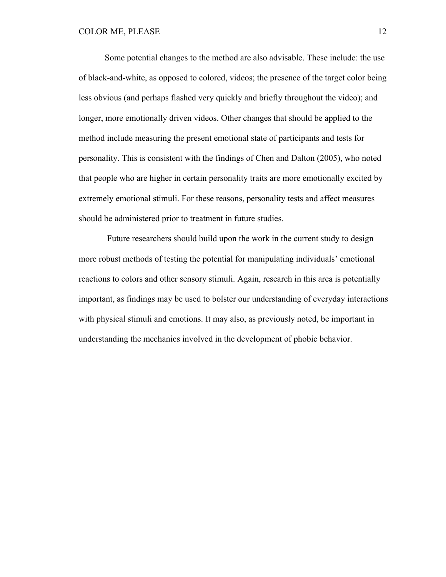Some potential changes to the method are also advisable. These include: the use of black-and-white, as opposed to colored, videos; the presence of the target color being less obvious (and perhaps flashed very quickly and briefly throughout the video); and longer, more emotionally driven videos. Other changes that should be applied to the method include measuring the present emotional state of participants and tests for personality. This is consistent with the findings of Chen and Dalton (2005), who noted that people who are higher in certain personality traits are more emotionally excited by extremely emotional stimuli. For these reasons, personality tests and affect measures should be administered prior to treatment in future studies.

 Future researchers should build upon the work in the current study to design more robust methods of testing the potential for manipulating individuals' emotional reactions to colors and other sensory stimuli. Again, research in this area is potentially important, as findings may be used to bolster our understanding of everyday interactions with physical stimuli and emotions. It may also, as previously noted, be important in understanding the mechanics involved in the development of phobic behavior.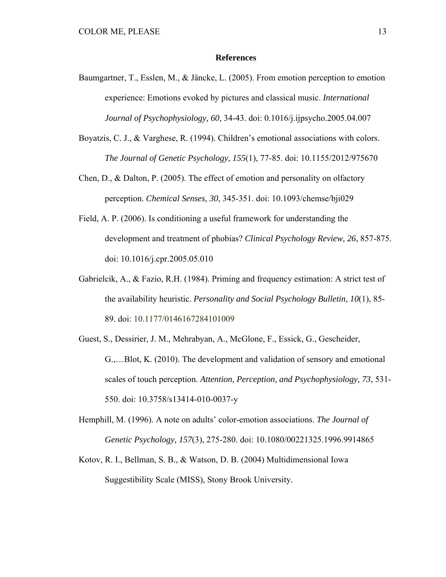#### **References**

- Baumgartner, T., Esslen, M., & Jäncke, L. (2005). From emotion perception to emotion experience: Emotions evoked by pictures and classical music. *International Journal of Psychophysiology, 60*, 34-43. doi: 0.1016/j.ijpsycho.2005.04.007
- Boyatzis, C. J., & Varghese, R. (1994). Children's emotional associations with colors. *The Journal of Genetic Psychology, 155*(1), 77-85. doi: 10.1155/2012/975670
- Chen, D., & Dalton, P. (2005). The effect of emotion and personality on olfactory perception. *Chemical Senses, 30*, 345-351. doi: 10.1093/chemse/bji029
- Field, A. P. (2006). Is conditioning a useful framework for understanding the development and treatment of phobias? *Clinical Psychology Review, 26*, 857-875. doi: 10.1016/j.cpr.2005.05.010
- Gabrielcik, A., & Fazio, R.H. (1984). Priming and frequency estimation: A strict test of the availability heuristic. *Personality and Social Psychology Bulletin, 10*(1), 85- 89. doi: 10.1177/0146167284101009
- Guest, S., Dessirier, J. M., Mehrabyan, A., McGlone, F., Essick, G., Gescheider, G.,…Blot, K. (2010). The development and validation of sensory and emotional scales of touch perception. *Attention, Perception, and Psychophysiology, 73*, 531- 550. doi: 10.3758/s13414-010-0037-y
- Hemphill, M. (1996). A note on adults' color-emotion associations. *The Journal of Genetic Psychology, 157*(3), 275-280. doi: 10.1080/00221325.1996.9914865
- Kotov, R. I., Bellman, S. B., & Watson, D. B. (2004) Multidimensional Iowa Suggestibility Scale (MISS), Stony Brook University.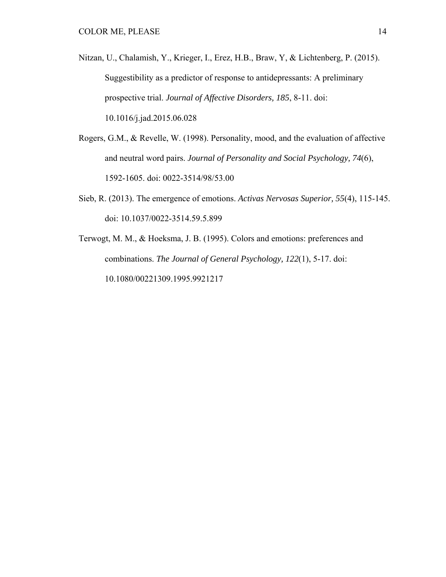- Nitzan, U., Chalamish, Y., Krieger, I., Erez, H.B., Braw, Y, & Lichtenberg, P. (2015). Suggestibility as a predictor of response to antidepressants: A preliminary prospective trial. *Journal of Affective Disorders, 185*, 8-11. doi: 10.1016/j.jad.2015.06.028
- Rogers, G.M., & Revelle, W. (1998). Personality, mood, and the evaluation of affective and neutral word pairs. *Journal of Personality and Social Psychology, 74*(6), 1592-1605. doi: 0022-3514/98/53.00
- Sieb, R. (2013). The emergence of emotions. *Activas Nervosas Superior, 55*(4), 115-145. doi: 10.1037/0022-3514.59.5.899
- Terwogt, M. M., & Hoeksma, J. B. (1995). Colors and emotions: preferences and combinations. *The Journal of General Psychology, 122*(1), 5-17. doi: 10.1080/00221309.1995.9921217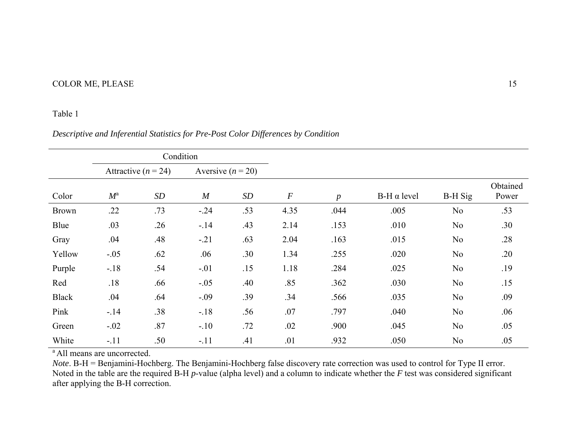# COLOR ME, PLEASE 15

#### Table 1

## *Descriptive and Inferential Statistics for Pre-Post Color Differences by Condition*

|              | Condition   |                         |                     |     |                  |                  |                    |                |                   |
|--------------|-------------|-------------------------|---------------------|-----|------------------|------------------|--------------------|----------------|-------------------|
|              |             | Attractive ( $n = 24$ ) | Aversive $(n = 20)$ |     |                  |                  |                    |                |                   |
| Color        | $M^{\rm a}$ | SD                      | $\boldsymbol{M}$    | SD  | $\boldsymbol{F}$ | $\boldsymbol{p}$ | $B-H \alpha$ level | <b>B-H</b> Sig | Obtained<br>Power |
| <b>Brown</b> | .22         | .73                     | $-.24$              | .53 | 4.35             | .044             | .005               | N <sub>o</sub> | .53               |
| Blue         | .03         | .26                     | $-14$               | .43 | 2.14             | .153             | .010               | N <sub>o</sub> | .30               |
| Gray         | .04         | .48                     | $-.21$              | .63 | 2.04             | .163             | .015               | No             | .28               |
| Yellow       | $-.05$      | .62                     | .06                 | .30 | 1.34             | .255             | .020               | N <sub>o</sub> | .20               |
| Purple       | $-18$       | .54                     | $-.01$              | .15 | 1.18             | .284             | .025               | N <sub>o</sub> | .19               |
| Red          | .18         | .66                     | $-.05$              | .40 | .85              | .362             | .030               | N <sub>o</sub> | .15               |
| <b>Black</b> | .04         | .64                     | $-.09$              | .39 | .34              | .566             | .035               | N <sub>o</sub> | .09               |
| Pink         | $-14$       | .38                     | $-.18$              | .56 | .07              | .797             | .040               | No             | .06               |
| Green        | $-.02$      | .87                     | $-.10$              | .72 | .02              | .900             | .045               | N <sub>o</sub> | .05               |
| White        | $-.11$      | .50                     | $-.11$              | .41 | .01              | .932             | .050               | N <sub>o</sub> | .05               |

<sup>a</sup> All means are uncorrected.

*Note*. B-H = Benjamini-Hochberg. The Benjamini-Hochberg false discovery rate correction was used to control for Type II error. Noted in the table are the required B-H *p*-value (alpha level) and a column to indicate whether the *F* test was considered significant after applying the B-H correction.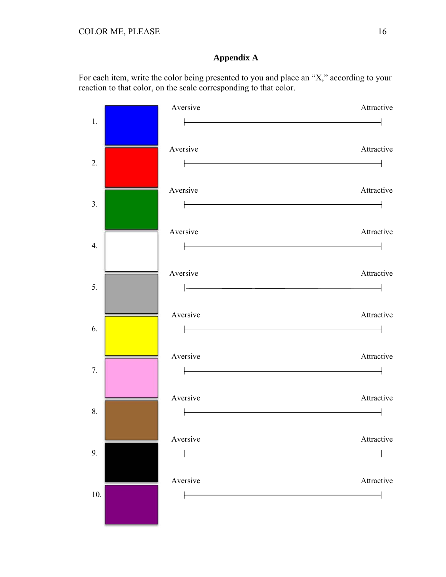# **Appendix A**

For each item, write the color being presented to you and place an "X," according to your reaction to that color, on the scale corresponding to that color.

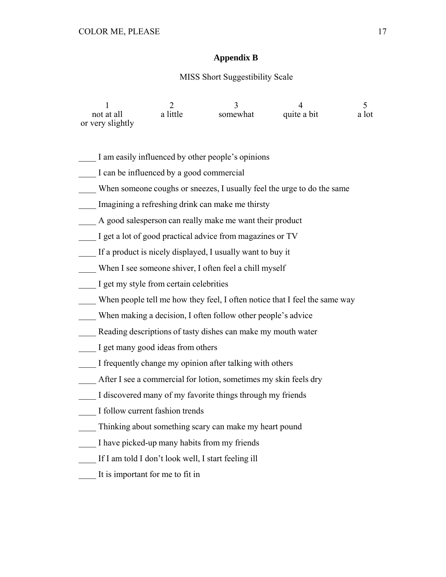## **Appendix B**

#### MISS Short Suggestibility Scale

| not at all       | a little | somewhat | quite a bit | a lot |
|------------------|----------|----------|-------------|-------|
| or very slightly |          |          |             |       |

- \_\_\_\_ I am easily influenced by other people's opinions
- I can be influenced by a good commercial
- When someone coughs or sneezes, I usually feel the urge to do the same
- Imagining a refreshing drink can make me thirsty
- A good salesperson can really make me want their product
- I get a lot of good practical advice from magazines or TV
- If a product is nicely displayed, I usually want to buy it
- When I see someone shiver, I often feel a chill myself
- \_\_\_\_ I get my style from certain celebrities
- \_\_\_\_ When people tell me how they feel, I often notice that I feel the same way
- \_\_\_\_ When making a decision, I often follow other people's advice
- \_\_\_\_ Reading descriptions of tasty dishes can make my mouth water
- \_\_\_\_ I get many good ideas from others
- \_\_\_\_ I frequently change my opinion after talking with others
- \_\_\_\_ After I see a commercial for lotion, sometimes my skin feels dry
- \_\_\_\_ I discovered many of my favorite things through my friends
- \_\_\_\_ I follow current fashion trends
- Thinking about something scary can make my heart pound
- I have picked-up many habits from my friends
- \_\_\_\_ If I am told I don't look well, I start feeling ill
- It is important for me to fit in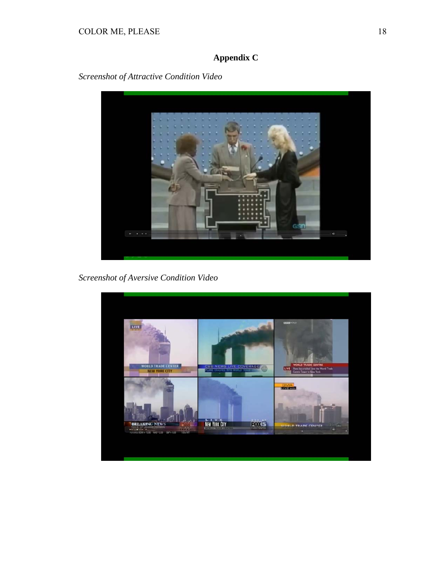# **Appendix C**

*Screenshot of Attractive Condition Video* 



*Screenshot of Aversive Condition Video* 

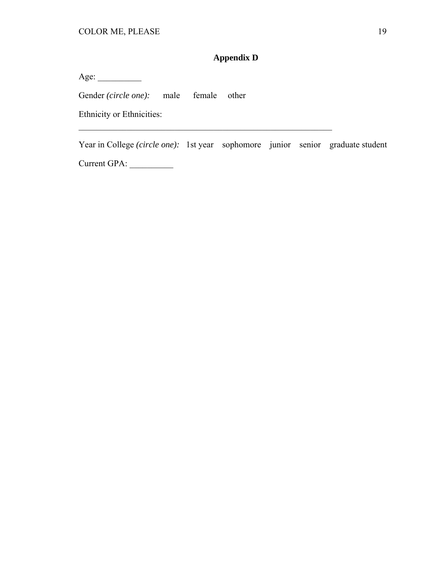# **Appendix D**

Age: \_\_\_\_\_\_\_\_\_\_

Gender *(circle one)*: male female other

Ethnicity or Ethnicities:

Year in College *(circle one):* 1st year sophomore junior senior graduate student Current GPA: \_\_\_\_\_\_\_\_\_\_

\_\_\_\_\_\_\_\_\_\_\_\_\_\_\_\_\_\_\_\_\_\_\_\_\_\_\_\_\_\_\_\_\_\_\_\_\_\_\_\_\_\_\_\_\_\_\_\_\_\_\_\_\_\_\_\_\_\_